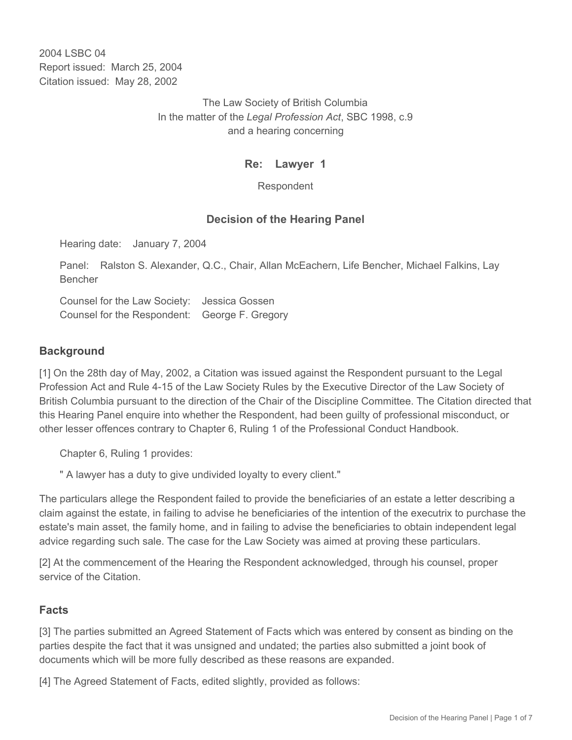2004 LSBC 04 Report issued: March 25, 2004 Citation issued: May 28, 2002

> The Law Society of British Columbia In the matter of the *Legal Profession Act*, SBC 1998, c.9 and a hearing concerning

## **Re: Lawyer 1**

Respondent

### **Decision of the Hearing Panel**

Hearing date: January 7, 2004

Panel: Ralston S. Alexander, Q.C., Chair, Allan McEachern, Life Bencher, Michael Falkins, Lay Bencher

Counsel for the Law Society: Jessica Gossen Counsel for the Respondent: George F. Gregory

### **Background**

[1] On the 28th day of May, 2002, a Citation was issued against the Respondent pursuant to the Legal Profession Act and Rule 4-15 of the Law Society Rules by the Executive Director of the Law Society of British Columbia pursuant to the direction of the Chair of the Discipline Committee. The Citation directed that this Hearing Panel enquire into whether the Respondent, had been guilty of professional misconduct, or other lesser offences contrary to Chapter 6, Ruling 1 of the Professional Conduct Handbook.

Chapter 6, Ruling 1 provides:

" A lawyer has a duty to give undivided loyalty to every client."

The particulars allege the Respondent failed to provide the beneficiaries of an estate a letter describing a claim against the estate, in failing to advise he beneficiaries of the intention of the executrix to purchase the estate's main asset, the family home, and in failing to advise the beneficiaries to obtain independent legal advice regarding such sale. The case for the Law Society was aimed at proving these particulars.

[2] At the commencement of the Hearing the Respondent acknowledged, through his counsel, proper service of the Citation.

### **Facts**

[3] The parties submitted an Agreed Statement of Facts which was entered by consent as binding on the parties despite the fact that it was unsigned and undated; the parties also submitted a joint book of documents which will be more fully described as these reasons are expanded.

[4] The Agreed Statement of Facts, edited slightly, provided as follows: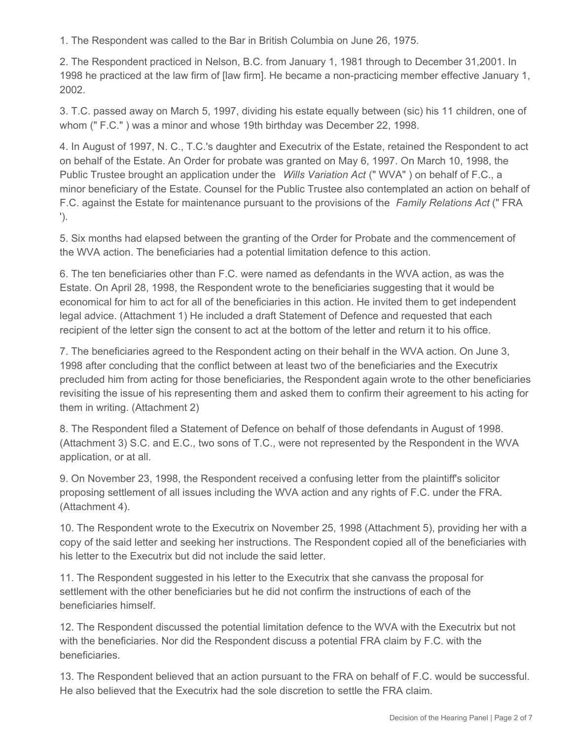1. The Respondent was called to the Bar in British Columbia on June 26, 1975.

2. The Respondent practiced in Nelson, B.C. from January 1, 1981 through to December 31,2001. In 1998 he practiced at the law firm of [law firm]. He became a non-practicing member effective January 1, 2002.

3. T.C. passed away on March 5, 1997, dividing his estate equally between (sic) his 11 children, one of whom (" F.C." ) was a minor and whose 19th birthday was December 22, 1998.

4. In August of 1997, N. C., T.C.'s daughter and Executrix of the Estate, retained the Respondent to act on behalf of the Estate. An Order for probate was granted on May 6, 1997. On March 10, 1998, the Public Trustee brought an application under the *Wills Variation Act* (" WVA" ) on behalf of F.C., a minor beneficiary of the Estate. Counsel for the Public Trustee also contemplated an action on behalf of F.C. against the Estate for maintenance pursuant to the provisions of the *Family Relations Act* (" FRA ').

5. Six months had elapsed between the granting of the Order for Probate and the commencement of the WVA action. The beneficiaries had a potential limitation defence to this action.

6. The ten beneficiaries other than F.C. were named as defendants in the WVA action, as was the Estate. On April 28, 1998, the Respondent wrote to the beneficiaries suggesting that it would be economical for him to act for all of the beneficiaries in this action. He invited them to get independent legal advice. (Attachment 1) He included a draft Statement of Defence and requested that each recipient of the letter sign the consent to act at the bottom of the letter and return it to his office.

7. The beneficiaries agreed to the Respondent acting on their behalf in the WVA action. On June 3, 1998 after concluding that the conflict between at least two of the beneficiaries and the Executrix precluded him from acting for those beneficiaries, the Respondent again wrote to the other beneficiaries revisiting the issue of his representing them and asked them to confirm their agreement to his acting for them in writing. (Attachment 2)

8. The Respondent filed a Statement of Defence on behalf of those defendants in August of 1998. (Attachment 3) S.C. and E.C., two sons of T.C., were not represented by the Respondent in the WVA application, or at all.

9. On November 23, 1998, the Respondent received a confusing letter from the plaintiff's solicitor proposing settlement of all issues including the WVA action and any rights of F.C. under the FRA. (Attachment 4).

10. The Respondent wrote to the Executrix on November 25, 1998 (Attachment 5), providing her with a copy of the said letter and seeking her instructions. The Respondent copied all of the beneficiaries with his letter to the Executrix but did not include the said letter.

11. The Respondent suggested in his letter to the Executrix that she canvass the proposal for settlement with the other beneficiaries but he did not confirm the instructions of each of the beneficiaries himself.

12. The Respondent discussed the potential limitation defence to the WVA with the Executrix but not with the beneficiaries. Nor did the Respondent discuss a potential FRA claim by F.C. with the beneficiaries.

13. The Respondent believed that an action pursuant to the FRA on behalf of F.C. would be successful. He also believed that the Executrix had the sole discretion to settle the FRA claim.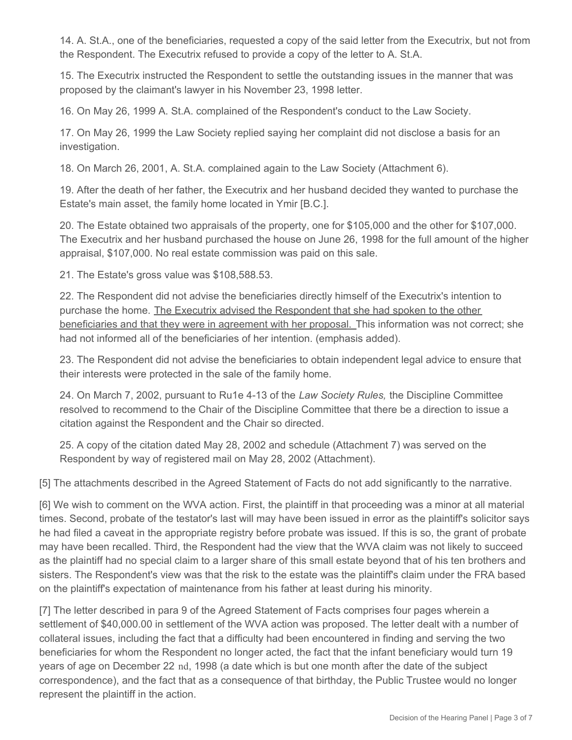14. A. St.A., one of the beneficiaries, requested a copy of the said letter from the Executrix, but not from the Respondent. The Executrix refused to provide a copy of the letter to A. St.A.

15. The Executrix instructed the Respondent to settle the outstanding issues in the manner that was proposed by the claimant's lawyer in his November 23, 1998 letter.

16. On May 26, 1999 A. St.A. complained of the Respondent's conduct to the Law Society.

17. On May 26, 1999 the Law Society replied saying her complaint did not disclose a basis for an investigation.

18. On March 26, 2001, A. St.A. complained again to the Law Society (Attachment 6).

19. After the death of her father, the Executrix and her husband decided they wanted to purchase the Estate's main asset, the family home located in Ymir [B.C.].

20. The Estate obtained two appraisals of the property, one for \$105,000 and the other for \$107,000. The Executrix and her husband purchased the house on June 26, 1998 for the full amount of the higher appraisal, \$107,000. No real estate commission was paid on this sale.

21. The Estate's gross value was \$108,588.53.

22. The Respondent did not advise the beneficiaries directly himself of the Executrix's intention to purchase the home. The Executrix advised the Respondent that she had spoken to the other beneficiaries and that they were in agreement with her proposal. This information was not correct; she had not informed all of the beneficiaries of her intention. (emphasis added).

23. The Respondent did not advise the beneficiaries to obtain independent legal advice to ensure that their interests were protected in the sale of the family home.

24. On March 7, 2002, pursuant to Ru1e 4-13 of the *Law Society Rules,* the Discipline Committee resolved to recommend to the Chair of the Discipline Committee that there be a direction to issue a citation against the Respondent and the Chair so directed.

25. A copy of the citation dated May 28, 2002 and schedule (Attachment 7) was served on the Respondent by way of registered mail on May 28, 2002 (Attachment).

[5] The attachments described in the Agreed Statement of Facts do not add significantly to the narrative.

[6] We wish to comment on the WVA action. First, the plaintiff in that proceeding was a minor at all material times. Second, probate of the testator's last will may have been issued in error as the plaintiff's solicitor says he had filed a caveat in the appropriate registry before probate was issued. If this is so, the grant of probate may have been recalled. Third, the Respondent had the view that the WVA claim was not likely to succeed as the plaintiff had no special claim to a larger share of this small estate beyond that of his ten brothers and sisters. The Respondent's view was that the risk to the estate was the plaintiff's claim under the FRA based on the plaintiff's expectation of maintenance from his father at least during his minority.

[7] The letter described in para 9 of the Agreed Statement of Facts comprises four pages wherein a settlement of \$40,000.00 in settlement of the WVA action was proposed. The letter dealt with a number of collateral issues, including the fact that a difficulty had been encountered in finding and serving the two beneficiaries for whom the Respondent no longer acted, the fact that the infant beneficiary would turn 19 years of age on December 22 nd, 1998 (a date which is but one month after the date of the subject correspondence), and the fact that as a consequence of that birthday, the Public Trustee would no longer represent the plaintiff in the action.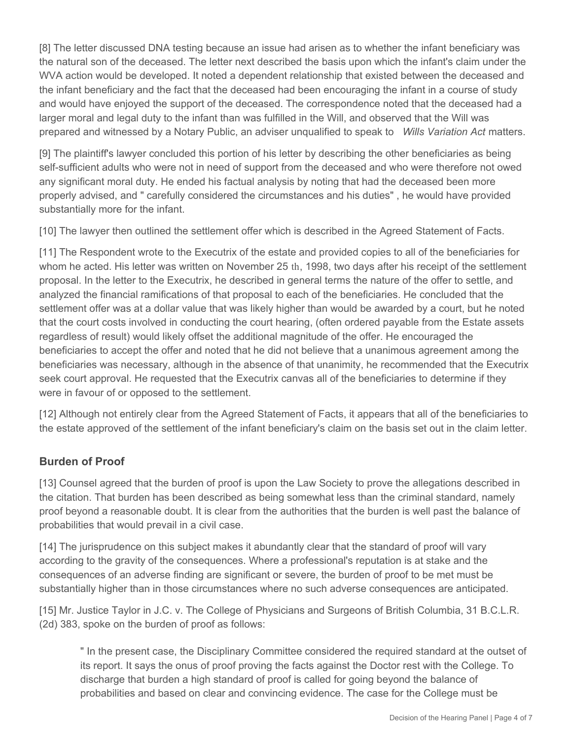[8] The letter discussed DNA testing because an issue had arisen as to whether the infant beneficiary was the natural son of the deceased. The letter next described the basis upon which the infant's claim under the WVA action would be developed. It noted a dependent relationship that existed between the deceased and the infant beneficiary and the fact that the deceased had been encouraging the infant in a course of study and would have enjoyed the support of the deceased. The correspondence noted that the deceased had a larger moral and legal duty to the infant than was fulfilled in the Will, and observed that the Will was prepared and witnessed by a Notary Public, an adviser unqualified to speak to *Wills Variation Act* matters.

[9] The plaintiff's lawyer concluded this portion of his letter by describing the other beneficiaries as being self-sufficient adults who were not in need of support from the deceased and who were therefore not owed any significant moral duty. He ended his factual analysis by noting that had the deceased been more properly advised, and " carefully considered the circumstances and his duties" , he would have provided substantially more for the infant.

[10] The lawyer then outlined the settlement offer which is described in the Agreed Statement of Facts.

[11] The Respondent wrote to the Executrix of the estate and provided copies to all of the beneficiaries for whom he acted. His letter was written on November 25 th, 1998, two days after his receipt of the settlement proposal. In the letter to the Executrix, he described in general terms the nature of the offer to settle, and analyzed the financial ramifications of that proposal to each of the beneficiaries. He concluded that the settlement offer was at a dollar value that was likely higher than would be awarded by a court, but he noted that the court costs involved in conducting the court hearing, (often ordered payable from the Estate assets regardless of result) would likely offset the additional magnitude of the offer. He encouraged the beneficiaries to accept the offer and noted that he did not believe that a unanimous agreement among the beneficiaries was necessary, although in the absence of that unanimity, he recommended that the Executrix seek court approval. He requested that the Executrix canvas all of the beneficiaries to determine if they were in favour of or opposed to the settlement.

[12] Although not entirely clear from the Agreed Statement of Facts, it appears that all of the beneficiaries to the estate approved of the settlement of the infant beneficiary's claim on the basis set out in the claim letter.

# **Burden of Proof**

[13] Counsel agreed that the burden of proof is upon the Law Society to prove the allegations described in the citation. That burden has been described as being somewhat less than the criminal standard, namely proof beyond a reasonable doubt. It is clear from the authorities that the burden is well past the balance of probabilities that would prevail in a civil case.

[14] The jurisprudence on this subject makes it abundantly clear that the standard of proof will vary according to the gravity of the consequences. Where a professional's reputation is at stake and the consequences of an adverse finding are significant or severe, the burden of proof to be met must be substantially higher than in those circumstances where no such adverse consequences are anticipated.

[15] Mr. Justice Taylor in J.C. v. The College of Physicians and Surgeons of British Columbia, 31 B.C.L.R. (2d) 383, spoke on the burden of proof as follows:

" In the present case, the Disciplinary Committee considered the required standard at the outset of its report. It says the onus of proof proving the facts against the Doctor rest with the College. To discharge that burden a high standard of proof is called for going beyond the balance of probabilities and based on clear and convincing evidence. The case for the College must be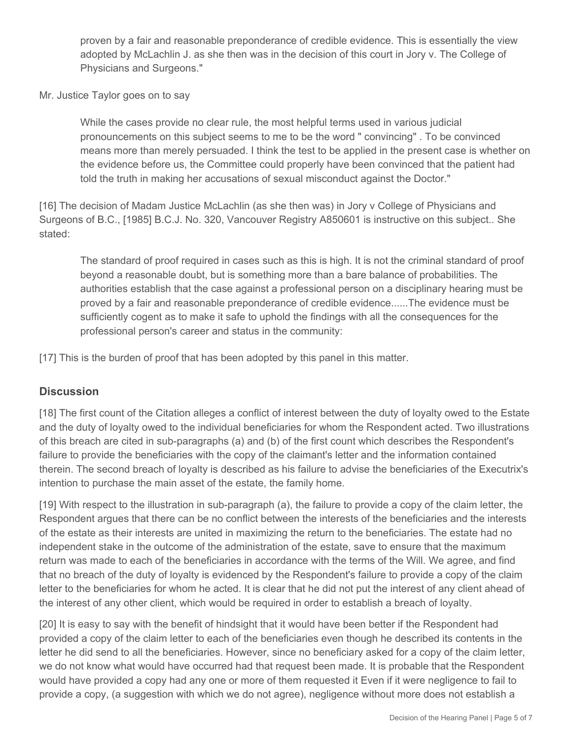proven by a fair and reasonable preponderance of credible evidence. This is essentially the view adopted by McLachlin J. as she then was in the decision of this court in Jory v. The College of Physicians and Surgeons."

Mr. Justice Taylor goes on to say

While the cases provide no clear rule, the most helpful terms used in various judicial pronouncements on this subject seems to me to be the word " convincing" . To be convinced means more than merely persuaded. I think the test to be applied in the present case is whether on the evidence before us, the Committee could properly have been convinced that the patient had told the truth in making her accusations of sexual misconduct against the Doctor."

[16] The decision of Madam Justice McLachlin (as she then was) in Jory v College of Physicians and Surgeons of B.C., [1985] B.C.J. No. 320, Vancouver Registry A850601 is instructive on this subject.. She stated:

The standard of proof required in cases such as this is high. It is not the criminal standard of proof beyond a reasonable doubt, but is something more than a bare balance of probabilities. The authorities establish that the case against a professional person on a disciplinary hearing must be proved by a fair and reasonable preponderance of credible evidence......The evidence must be sufficiently cogent as to make it safe to uphold the findings with all the consequences for the professional person's career and status in the community:

[17] This is the burden of proof that has been adopted by this panel in this matter.

# **Discussion**

[18] The first count of the Citation alleges a conflict of interest between the duty of loyalty owed to the Estate and the duty of loyalty owed to the individual beneficiaries for whom the Respondent acted. Two illustrations of this breach are cited in sub-paragraphs (a) and (b) of the first count which describes the Respondent's failure to provide the beneficiaries with the copy of the claimant's letter and the information contained therein. The second breach of loyalty is described as his failure to advise the beneficiaries of the Executrix's intention to purchase the main asset of the estate, the family home.

[19] With respect to the illustration in sub-paragraph (a), the failure to provide a copy of the claim letter, the Respondent argues that there can be no conflict between the interests of the beneficiaries and the interests of the estate as their interests are united in maximizing the return to the beneficiaries. The estate had no independent stake in the outcome of the administration of the estate, save to ensure that the maximum return was made to each of the beneficiaries in accordance with the terms of the Will. We agree, and find that no breach of the duty of loyalty is evidenced by the Respondent's failure to provide a copy of the claim letter to the beneficiaries for whom he acted. It is clear that he did not put the interest of any client ahead of the interest of any other client, which would be required in order to establish a breach of loyalty.

[20] It is easy to say with the benefit of hindsight that it would have been better if the Respondent had provided a copy of the claim letter to each of the beneficiaries even though he described its contents in the letter he did send to all the beneficiaries. However, since no beneficiary asked for a copy of the claim letter, we do not know what would have occurred had that request been made. It is probable that the Respondent would have provided a copy had any one or more of them requested it Even if it were negligence to fail to provide a copy, (a suggestion with which we do not agree), negligence without more does not establish a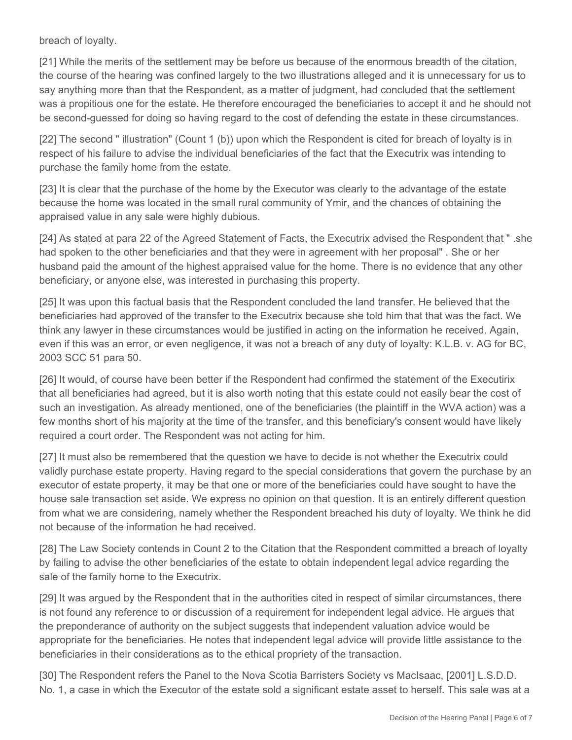breach of loyalty.

[21] While the merits of the settlement may be before us because of the enormous breadth of the citation, the course of the hearing was confined largely to the two illustrations alleged and it is unnecessary for us to say anything more than that the Respondent, as a matter of judgment, had concluded that the settlement was a propitious one for the estate. He therefore encouraged the beneficiaries to accept it and he should not be second-guessed for doing so having regard to the cost of defending the estate in these circumstances.

[22] The second " illustration" (Count 1 (b)) upon which the Respondent is cited for breach of loyalty is in respect of his failure to advise the individual beneficiaries of the fact that the Executrix was intending to purchase the family home from the estate.

[23] It is clear that the purchase of the home by the Executor was clearly to the advantage of the estate because the home was located in the small rural community of Ymir, and the chances of obtaining the appraised value in any sale were highly dubious.

[24] As stated at para 22 of the Agreed Statement of Facts, the Executrix advised the Respondent that " .she had spoken to the other beneficiaries and that they were in agreement with her proposal" . She or her husband paid the amount of the highest appraised value for the home. There is no evidence that any other beneficiary, or anyone else, was interested in purchasing this property.

[25] It was upon this factual basis that the Respondent concluded the land transfer. He believed that the beneficiaries had approved of the transfer to the Executrix because she told him that that was the fact. We think any lawyer in these circumstances would be justified in acting on the information he received. Again, even if this was an error, or even negligence, it was not a breach of any duty of loyalty: K.L.B. v. AG for BC, 2003 SCC 51 para 50.

[26] It would, of course have been better if the Respondent had confirmed the statement of the Executirix that all beneficiaries had agreed, but it is also worth noting that this estate could not easily bear the cost of such an investigation. As already mentioned, one of the beneficiaries (the plaintiff in the WVA action) was a few months short of his majority at the time of the transfer, and this beneficiary's consent would have likely required a court order. The Respondent was not acting for him.

[27] It must also be remembered that the question we have to decide is not whether the Executrix could validly purchase estate property. Having regard to the special considerations that govern the purchase by an executor of estate property, it may be that one or more of the beneficiaries could have sought to have the house sale transaction set aside. We express no opinion on that question. It is an entirely different question from what we are considering, namely whether the Respondent breached his duty of loyalty. We think he did not because of the information he had received.

[28] The Law Society contends in Count 2 to the Citation that the Respondent committed a breach of loyalty by failing to advise the other beneficiaries of the estate to obtain independent legal advice regarding the sale of the family home to the Executrix.

[29] It was argued by the Respondent that in the authorities cited in respect of similar circumstances, there is not found any reference to or discussion of a requirement for independent legal advice. He argues that the preponderance of authority on the subject suggests that independent valuation advice would be appropriate for the beneficiaries. He notes that independent legal advice will provide little assistance to the beneficiaries in their considerations as to the ethical propriety of the transaction.

[30] The Respondent refers the Panel to the Nova Scotia Barristers Society vs MacIsaac, [2001] L.S.D.D. No. 1, a case in which the Executor of the estate sold a significant estate asset to herself. This sale was at a